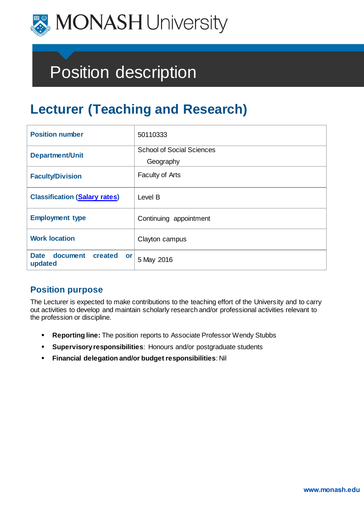

# Position description

## **Lecturer (Teaching and Research)**

| <b>Position number</b>                              | 50110333                                      |
|-----------------------------------------------------|-----------------------------------------------|
| <b>Department/Unit</b>                              | <b>School of Social Sciences</b><br>Geography |
| <b>Faculty/Division</b>                             | <b>Faculty of Arts</b>                        |
| <b>Classification (Salary rates)</b>                | Level B                                       |
| <b>Employment type</b>                              | Continuing appointment                        |
| <b>Work location</b>                                | Clayton campus                                |
| document<br><b>Date</b><br>created<br>or<br>updated | 5 May 2016                                    |

## **Position purpose**

The Lecturer is expected to make contributions to the teaching effort of the University and to carry out activities to develop and maintain scholarly research and/or professional activities relevant to the profession or discipline.

- **Reporting line:** The position reports to Associate Professor Wendy Stubbs
- **Supervisory responsibilities**: Honours and/or postgraduate students
- **Financial delegation and/or budget responsibilities**: Nil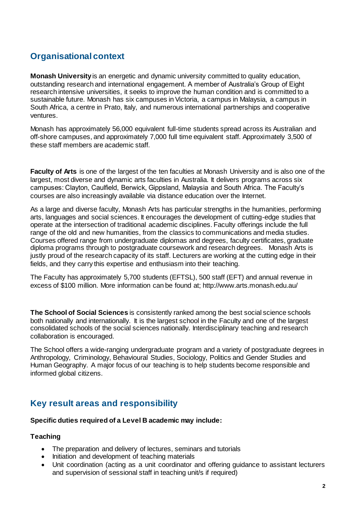## **Organisational context**

**Monash University** is an energetic and dynamic university committed to quality education, outstanding research and international engagement. A member of Australia's Group of Eight research intensive universities, it seeks to improve the human condition and is committed to a sustainable future. Monash has six campuses in Victoria, a campus in Malaysia, a campus in South Africa, a centre in Prato, Italy, and numerous international partnerships and cooperative ventures.

Monash has approximately 56,000 equivalent full-time students spread across its Australian and off-shore campuses, and approximately 7,000 full time equivalent staff. Approximately 3,500 of these staff members are academic staff.

**Faculty of Arts** is one of the largest of the ten faculties at Monash University and is also one of the largest, most diverse and dynamic arts faculties in Australia. It delivers programs across six campuses: Clayton, Caulfield, Berwick, Gippsland, Malaysia and South Africa. The Faculty's courses are also increasingly available via distance education over the Internet.

As a large and diverse faculty, Monash Arts has particular strengths in the humanities, performing arts, languages and social sciences. It encourages the development of cutting-edge studies that operate at the intersection of traditional academic disciplines. Faculty offerings include the full range of the old and new humanities, from the classics to communications and media studies. Courses offered range from undergraduate diplomas and degrees, faculty certificates, graduate diploma programs through to postgraduate coursework and research degrees. Monash Arts is justly proud of the research capacity of its staff. Lecturers are working at the cutting edge in their fields, and they carry this expertise and enthusiasm into their teaching.

The Faculty has approximately 5,700 students (EFTSL), 500 staff (EFT) and annual revenue in excess of \$100 million. More information can be found at; http://www.arts.monash.edu.au/

**The School of Social Sciences** is consistently ranked among the best social science schools both nationally and internationally. It is the largest school in the Faculty and one of the largest consolidated schools of the social sciences nationally. Interdisciplinary teaching and research collaboration is encouraged.

The School offers a wide-ranging undergraduate program and a variety of postgraduate degrees in Anthropology, Criminology, Behavioural Studies, Sociology, Politics and Gender Studies and Human Geography. A major focus of our teaching is to help students become responsible and informed global citizens.

## **Key result areas and responsibility**

#### **Specific duties required of a Level B academic may include:**

#### **Teaching**

- The preparation and delivery of lectures, seminars and tutorials
- Initiation and development of teaching materials
- Unit coordination (acting as a unit coordinator and offering guidance to assistant lecturers and supervision of sessional staff in teaching unit/s if required)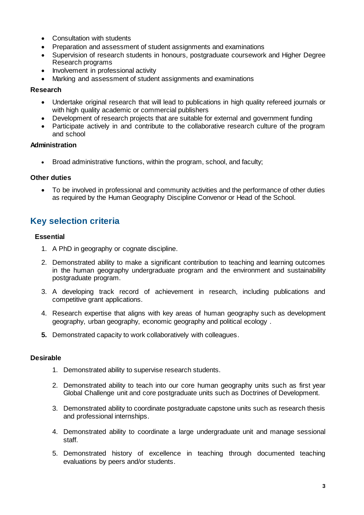- Consultation with students
- Preparation and assessment of student assignments and examinations
- Supervision of research students in honours, postgraduate coursework and Higher Degree Research programs
- Involvement in professional activity
- Marking and assessment of student assignments and examinations

#### **Research**

- Undertake original research that will lead to publications in high quality refereed journals or with high quality academic or commercial publishers
- Development of research projects that are suitable for external and government funding
- Participate actively in and contribute to the collaborative research culture of the program and school

#### **Administration**

• Broad administrative functions, within the program, school, and faculty;

#### **Other duties**

 To be involved in professional and community activities and the performance of other duties as required by the Human Geography Discipline Convenor or Head of the School.

## **Key selection criteria**

#### **Essential**

- 1. A PhD in geography or cognate discipline.
- 2. Demonstrated ability to make a significant contribution to teaching and learning outcomes in the human geography undergraduate program and the environment and sustainability postgraduate program.
- 3. A developing track record of achievement in research, including publications and competitive grant applications.
- 4. Research expertise that aligns with key areas of human geography such as development geography, urban geography, economic geography and political ecology .
- **5.** Demonstrated capacity to work collaboratively with colleagues.

#### **Desirable**

- 1. Demonstrated ability to supervise research students.
- 2. Demonstrated ability to teach into our core human geography units such as first year Global Challenge unit and core postgraduate units such as Doctrines of Development.
- 3. Demonstrated ability to coordinate postgraduate capstone units such as research thesis and professional internships.
- 4. Demonstrated ability to coordinate a large undergraduate unit and manage sessional staff.
- 5. Demonstrated history of excellence in teaching through documented teaching evaluations by peers and/or students.